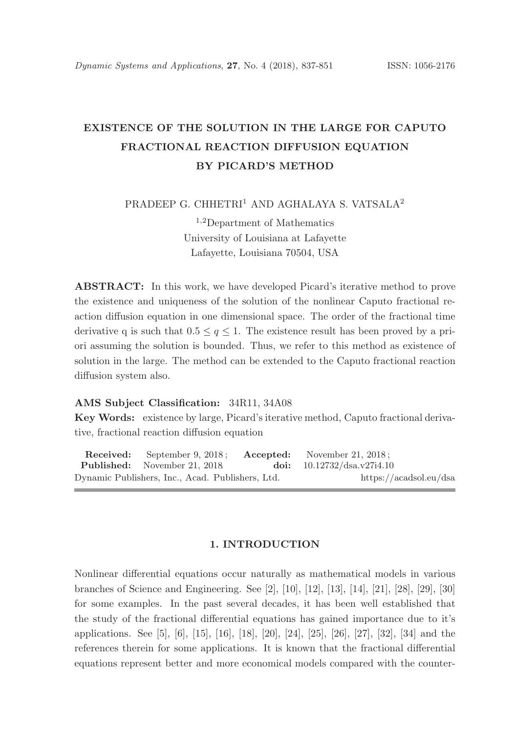# EXISTENCE OF THE SOLUTION IN THE LARGE FOR CAPUTO FRACTIONAL REACTION DIFFUSION EQUATION BY PICARD'S METHOD

PRADEEP G. CHHETRI<sup>1</sup> AND AGHALAYA S. VATSALA<sup>2</sup>

<sup>1</sup>,<sup>2</sup>Department of Mathematics University of Louisiana at Lafayette Lafayette, Louisiana 70504, USA

ABSTRACT: In this work, we have developed Picard's iterative method to prove the existence and uniqueness of the solution of the nonlinear Caputo fractional reaction diffusion equation in one dimensional space. The order of the fractional time derivative q is such that  $0.5 \le q \le 1$ . The existence result has been proved by a priori assuming the solution is bounded. Thus, we refer to this method as existence of solution in the large. The method can be extended to the Caputo fractional reaction diffusion system also.

# AMS Subject Classification: 34R11, 34A08

Key Words: existence by large, Picard's iterative method, Caputo fractional derivative, fractional reaction diffusion equation

Received: September 9, 2018 ; Accepted: November 21, 2018 ; Published: November 21, 2018. doi: 10.12732/dsa.v27i4.10 Dynamic Publishers, Inc., Acad. Publishers, Ltd. https://acadsol.eu/dsa

# 1. INTRODUCTION

Nonlinear differential equations occur naturally as mathematical models in various branches of Science and Engineering. See [2], [10], [12], [13], [14], [21], [28], [29], [30] for some examples. In the past several decades, it has been well established that the study of the fractional differential equations has gained importance due to it's applications. See [5], [6], [15], [16], [18], [20], [24], [25], [26], [27], [32], [34] and the references therein for some applications. It is known that the fractional differential equations represent better and more economical models compared with the counter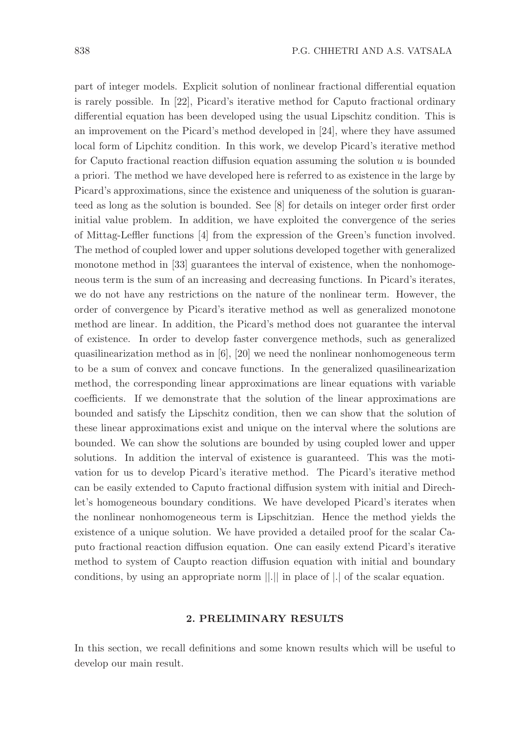part of integer models. Explicit solution of nonlinear fractional differential equation is rarely possible. In [22], Picard's iterative method for Caputo fractional ordinary differential equation has been developed using the usual Lipschitz condition. This is an improvement on the Picard's method developed in [24], where they have assumed local form of Lipchitz condition. In this work, we develop Picard's iterative method for Caputo fractional reaction diffusion equation assuming the solution  $u$  is bounded a priori. The method we have developed here is referred to as existence in the large by Picard's approximations, since the existence and uniqueness of the solution is guaranteed as long as the solution is bounded. See [8] for details on integer order first order initial value problem. In addition, we have exploited the convergence of the series of Mittag-Leffler functions [4] from the expression of the Green's function involved. The method of coupled lower and upper solutions developed together with generalized monotone method in [33] guarantees the interval of existence, when the nonhomogeneous term is the sum of an increasing and decreasing functions. In Picard's iterates, we do not have any restrictions on the nature of the nonlinear term. However, the order of convergence by Picard's iterative method as well as generalized monotone method are linear. In addition, the Picard's method does not guarantee the interval of existence. In order to develop faster convergence methods, such as generalized quasilinearization method as in [6], [20] we need the nonlinear nonhomogeneous term to be a sum of convex and concave functions. In the generalized quasilinearization method, the corresponding linear approximations are linear equations with variable coefficients. If we demonstrate that the solution of the linear approximations are bounded and satisfy the Lipschitz condition, then we can show that the solution of these linear approximations exist and unique on the interval where the solutions are bounded. We can show the solutions are bounded by using coupled lower and upper solutions. In addition the interval of existence is guaranteed. This was the motivation for us to develop Picard's iterative method. The Picard's iterative method can be easily extended to Caputo fractional diffusion system with initial and Direchlet's homogeneous boundary conditions. We have developed Picard's iterates when the nonlinear nonhomogeneous term is Lipschitzian. Hence the method yields the existence of a unique solution. We have provided a detailed proof for the scalar Caputo fractional reaction diffusion equation. One can easily extend Picard's iterative method to system of Caupto reaction diffusion equation with initial and boundary conditions, by using an appropriate norm ||.|| in place of |.| of the scalar equation.

# 2. PRELIMINARY RESULTS

In this section, we recall definitions and some known results which will be useful to develop our main result.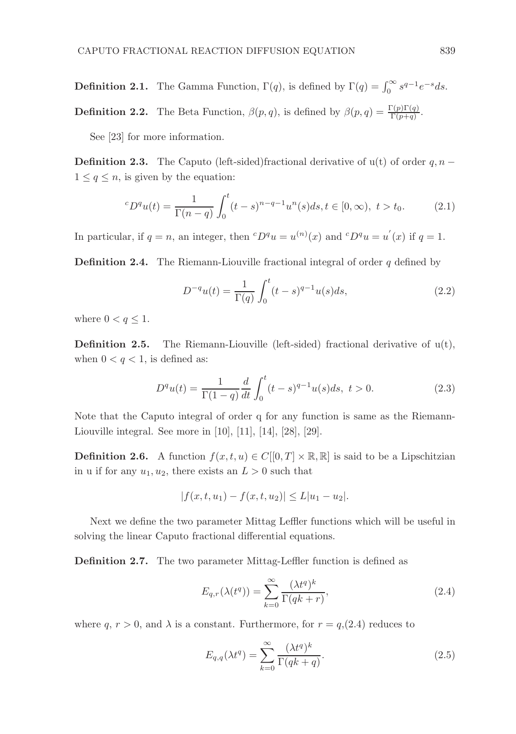**Definition 2.1.** The Gamma Function,  $\Gamma(q)$ , is defined by  $\Gamma(q) = \int_0^\infty s^{q-1} e^{-s} ds$ .

**Definition 2.2.** The Beta Function,  $\beta(p,q)$ , is defined by  $\beta(p,q) = \frac{\Gamma(p)\Gamma(q)}{\Gamma(p+q)}$ .

See [23] for more information.

**Definition 2.3.** The Caputo (left-sided)fractional derivative of  $u(t)$  of order  $q, n 1 \leq q \leq n$ , is given by the equation:

$$
{}^{c}D^{q}u(t) = \frac{1}{\Gamma(n-q)} \int_{0}^{t} (t-s)^{n-q-1} u^{n}(s)ds, t \in [0, \infty), \ t > t_{0}.
$$
 (2.1)

In particular, if  $q = n$ , an integer, then  ${}^cD^qu = u^{(n)}(x)$  and  ${}^cD^qu = u^{'}(x)$  if  $q = 1$ .

**Definition 2.4.** The Riemann-Liouville fractional integral of order  $q$  defined by

$$
D^{-q}u(t) = \frac{1}{\Gamma(q)} \int_0^t (t-s)^{q-1} u(s) ds,
$$
\n(2.2)

where  $0 < q \leq 1$ .

**Definition 2.5.** The Riemann-Liouville (left-sided) fractional derivative of  $u(t)$ , when  $0 < q < 1$ , is defined as:

$$
D^{q}u(t) = \frac{1}{\Gamma(1-q)}\frac{d}{dt}\int_{0}^{t}(t-s)^{q-1}u(s)ds, \ t > 0.
$$
 (2.3)

Note that the Caputo integral of order q for any function is same as the Riemann-Liouville integral. See more in [10], [11], [14], [28], [29].

**Definition 2.6.** A function  $f(x, t, u) \in C[[0, T] \times \mathbb{R}, \mathbb{R}]$  is said to be a Lipschitzian in u if for any  $u_1, u_2$ , there exists an  $L > 0$  such that

$$
|f(x, t, u_1) - f(x, t, u_2)| \le L|u_1 - u_2|.
$$

Next we define the two parameter Mittag Leffler functions which will be useful in solving the linear Caputo fractional differential equations.

Definition 2.7. The two parameter Mittag-Leffler function is defined as

$$
E_{q,r}(\lambda(t^q)) = \sum_{k=0}^{\infty} \frac{(\lambda t^q)^k}{\Gamma(qk+r)},
$$
\n(2.4)

where q,  $r > 0$ , and  $\lambda$  is a constant. Furthermore, for  $r = q(2.4)$  reduces to

$$
E_{q,q}(\lambda t^q) = \sum_{k=0}^{\infty} \frac{(\lambda t^q)^k}{\Gamma(qk+q)}.
$$
\n(2.5)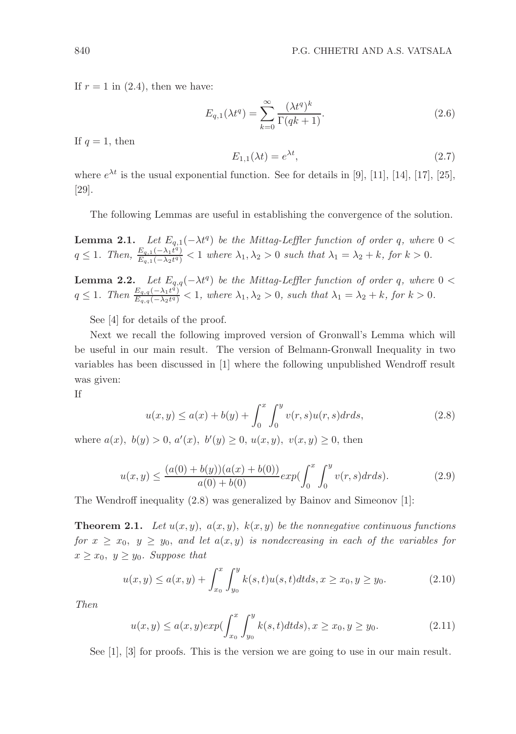If  $r = 1$  in (2.4), then we have:

$$
E_{q,1}(\lambda t^q) = \sum_{k=0}^{\infty} \frac{(\lambda t^q)^k}{\Gamma(qk+1)}.
$$
\n(2.6)

If  $q = 1$ , then

$$
E_{1,1}(\lambda t) = e^{\lambda t},\tag{2.7}
$$

where  $e^{\lambda t}$  is the usual exponential function. See for details in [9], [11], [14], [17], [25], [29].

The following Lemmas are useful in establishing the convergence of the solution.

**Lemma 2.1.** Let  $E_{q,1}(-\lambda t^q)$  be the Mittag-Leffler function of order q, where  $0 <$  $q \leq 1$ . Then,  $\frac{E_{q,1}(-\lambda_1 t^q)}{E_{q,1}(-\lambda_2 t^q)} < 1$  where  $\lambda_1, \lambda_2 > 0$  such that  $\lambda_1 = \lambda_2 + k$ , for  $k > 0$ .

**Lemma 2.2.** Let  $E_{q,q}(-\lambda t^q)$  be the Mittag-Leffler function of order q, where  $0 <$  $q \leq 1$ . Then  $\frac{E_{q,q}(-\lambda_1 t^q)}{E_{q,q}(-\lambda_2 t^q)} < 1$ , where  $\lambda_1, \lambda_2 > 0$ , such that  $\lambda_1 = \lambda_2 + k$ , for  $k > 0$ .

See [4] for details of the proof.

Next we recall the following improved version of Gronwall's Lemma which will be useful in our main result. The version of Belmann-Gronwall Inequality in two variables has been discussed in [1] where the following unpublished Wendroff result was given:

If

$$
u(x,y) \le a(x) + b(y) + \int_0^x \int_0^y v(r,s)u(r,s)drds,
$$
\n(2.8)

where  $a(x)$ ,  $b(y) > 0$ ,  $a'(x)$ ,  $b'(y) \ge 0$ ,  $u(x, y)$ ,  $v(x, y) \ge 0$ , then

$$
u(x,y) \le \frac{(a(0)+b(y))(a(x)+b(0))}{a(0)+b(0)}exp(\int_0^x \int_0^y v(r,s)drds). \tag{2.9}
$$

The Wendroff inequality (2.8) was generalized by Bainov and Simeonov [1]:

**Theorem 2.1.** Let  $u(x, y)$ ,  $a(x, y)$ ,  $k(x, y)$  be the nonnegative continuous functions for  $x \ge x_0, y \ge y_0$ , and let  $a(x, y)$  is nondecreasing in each of the variables for  $x \geq x_0, y \geq y_0$ . Suppose that

$$
u(x,y) \le a(x,y) + \int_{x_0}^x \int_{y_0}^y k(s,t)u(s,t)dtds, x \ge x_0, y \ge y_0.
$$
 (2.10)

Then

$$
u(x,y) \le a(x,y) \exp\left(\int_{x_0}^x \int_{y_0}^y k(s,t) dt ds\right), x \ge x_0, y \ge y_0. \tag{2.11}
$$

See [1], [3] for proofs. This is the version we are going to use in our main result.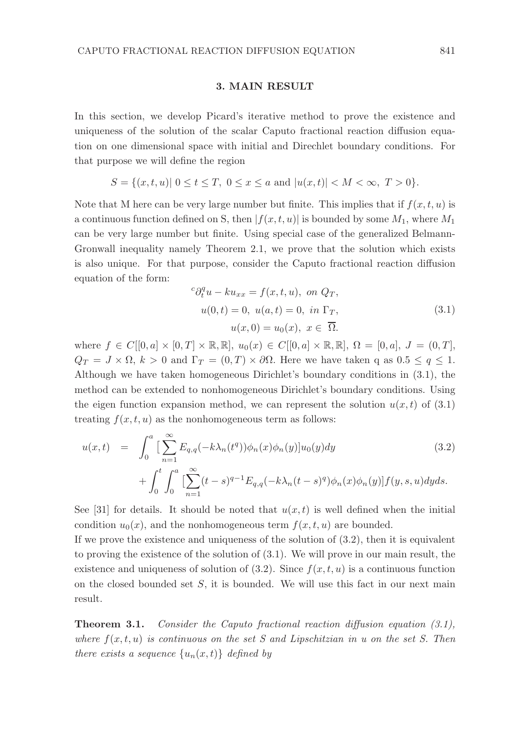#### 3. MAIN RESULT

In this section, we develop Picard's iterative method to prove the existence and uniqueness of the solution of the scalar Caputo fractional reaction diffusion equation on one dimensional space with initial and Direchlet boundary conditions. For that purpose we will define the region

$$
S = \{(x, t, u) | 0 \le t \le T, 0 \le x \le a \text{ and } |u(x, t)| < M < \infty, T > 0\}.
$$

Note that M here can be very large number but finite. This implies that if  $f(x, t, u)$  is a continuous function defined on S, then  $|f(x, t, u)|$  is bounded by some  $M_1$ , where  $M_1$ can be very large number but finite. Using special case of the generalized Belmann-Gronwall inequality namely Theorem 2.1, we prove that the solution which exists is also unique. For that purpose, consider the Caputo fractional reaction diffusion equation of the form:

$$
{}^{c}\partial_{t}^{q}u - ku_{xx} = f(x, t, u), \text{ on } Q_{T},
$$
  
\n
$$
u(0, t) = 0, \ u(a, t) = 0, \text{ in } \Gamma_{T},
$$
  
\n
$$
u(x, 0) = u_{0}(x), \ x \in \overline{\Omega}.
$$
\n(3.1)

where  $f \in C[[0, a] \times [0, T] \times \mathbb{R}, \mathbb{R}], u_0(x) \in C[[0, a] \times \mathbb{R}, \mathbb{R}], \Omega = [0, a], J = (0, T],$  $Q_T = J \times \Omega$ ,  $k > 0$  and  $\Gamma_T = (0, T) \times \partial \Omega$ . Here we have taken q as  $0.5 \le q \le 1$ . Although we have taken homogeneous Dirichlet's boundary conditions in (3.1), the method can be extended to nonhomogeneous Dirichlet's boundary conditions. Using the eigen function expansion method, we can represent the solution  $u(x, t)$  of (3.1) treating  $f(x, t, u)$  as the nonhomogeneous term as follows:

$$
u(x,t) = \int_0^a \left[ \sum_{n=1}^\infty E_{q,q}(-k\lambda_n(t^q))\phi_n(x)\phi_n(y)\right]u_0(y)dy + \int_0^t \int_0^a \left[ \sum_{n=1}^\infty (t-s)^{q-1} E_{q,q}(-k\lambda_n(t-s)^q)\phi_n(x)\phi_n(y)\right]f(y,s,u)dyds.
$$
 (3.2)

See [31] for details. It should be noted that  $u(x, t)$  is well defined when the initial condition  $u_0(x)$ , and the nonhomogeneous term  $f(x, t, u)$  are bounded.

If we prove the existence and uniqueness of the solution of  $(3.2)$ , then it is equivalent to proving the existence of the solution of (3.1). We will prove in our main result, the existence and uniqueness of solution of  $(3.2)$ . Since  $f(x, t, u)$  is a continuous function on the closed bounded set  $S$ , it is bounded. We will use this fact in our next main result.

**Theorem 3.1.** Consider the Caputo fractional reaction diffusion equation  $(3.1)$ , where  $f(x, t, u)$  is continuous on the set S and Lipschitzian in u on the set S. Then there exists a sequence  $\{u_n(x,t)\}\$  defined by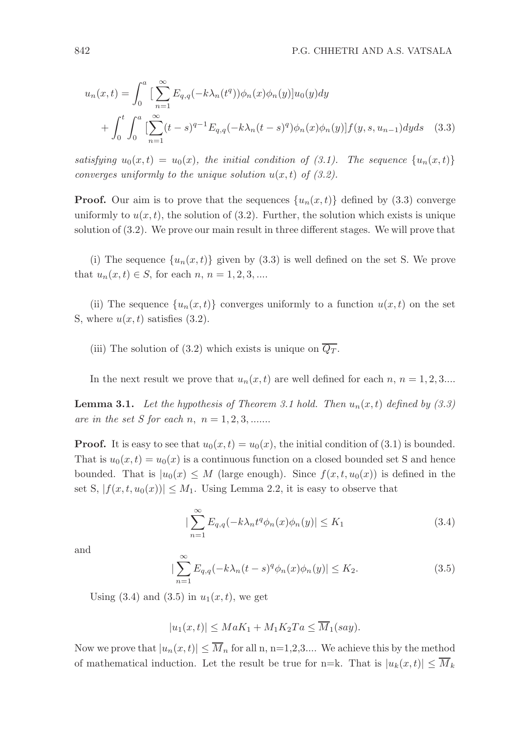$$
u_n(x,t) = \int_0^a \left[ \sum_{n=1}^\infty E_{q,q}(-k\lambda_n(t^q))\phi_n(x)\phi_n(y)\right]u_0(y)dy + \int_0^t \int_0^a \left[ \sum_{n=1}^\infty (t-s)^{q-1} E_{q,q}(-k\lambda_n(t-s)^q)\phi_n(x)\phi_n(y)\right]f(y,s,u_{n-1})dyds \quad (3.3)
$$

satisfying  $u_0(x,t) = u_0(x)$ , the initial condition of (3.1). The sequence  $\{u_n(x,t)\}$ converges uniformly to the unique solution  $u(x, t)$  of (3.2).

**Proof.** Our aim is to prove that the sequences  $\{u_n(x,t)\}\$  defined by (3.3) converge uniformly to  $u(x, t)$ , the solution of (3.2). Further, the solution which exists is unique solution of (3.2). We prove our main result in three different stages. We will prove that

(i) The sequence  $\{u_n(x,t)\}\$  given by (3.3) is well defined on the set S. We prove that  $u_n(x, t) \in S$ , for each  $n, n = 1, 2, 3, ...$ 

(ii) The sequence  $\{u_n(x,t)\}\)$  converges uniformly to a function  $u(x,t)$  on the set S, where  $u(x, t)$  satisfies (3.2).

(iii) The solution of (3.2) which exists is unique on  $\overline{Q_T}$ .

In the next result we prove that  $u_n(x,t)$  are well defined for each  $n, n = 1, 2, 3...$ 

**Lemma 3.1.** Let the hypothesis of Theorem 3.1 hold. Then  $u_n(x, t)$  defined by (3.3) are in the set *S* for each *n*,  $n = 1, 2, 3, \dots$ 

**Proof.** It is easy to see that  $u_0(x, t) = u_0(x)$ , the initial condition of (3.1) is bounded. That is  $u_0(x,t) = u_0(x)$  is a continuous function on a closed bounded set S and hence bounded. That is  $|u_0(x)| \leq M$  (large enough). Since  $f(x, t, u_0(x))$  is defined in the set S,  $|f(x, t, u_0(x))| \leq M_1$ . Using Lemma 2.2, it is easy to observe that

$$
\left|\sum_{n=1}^{\infty} E_{q,q}(-k\lambda_n t^q \phi_n(x)\phi_n(y)\right| \le K_1
$$
\n(3.4)

and

$$
\left|\sum_{n=1}^{\infty} E_{q,q}(-k\lambda_n(t-s)^q \phi_n(x)\phi_n(y)\right| \le K_2.
$$
\n(3.5)

Using  $(3.4)$  and  $(3.5)$  in  $u_1(x,t)$ , we get

 $|u_1(x,t)| \leq MaK_1 + M_1K_2Ta \leq \overline{M}_1(saw).$ 

Now we prove that  $|u_n(x,t)| \leq \overline{M}_n$  for all n, n=1,2,3.... We achieve this by the method of mathematical induction. Let the result be true for n=k. That is  $|u_k(x,t)| \leq \overline{M}_k$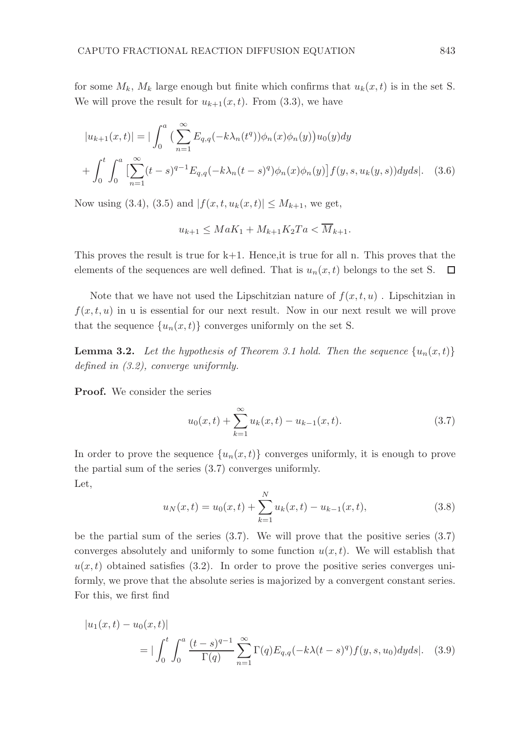for some  $M_k$ ,  $M_k$  large enough but finite which confirms that  $u_k(x, t)$  is in the set S. We will prove the result for  $u_{k+1}(x,t)$ . From (3.3), we have

$$
|u_{k+1}(x,t)| = |\int_0^a \left(\sum_{n=1}^\infty E_{q,q}(-k\lambda_n(t^q))\phi_n(x)\phi_n(y)\right)u_0(y)dy
$$
  
+ 
$$
\int_0^t \int_0^a \left[\sum_{n=1}^\infty (t-s)^{q-1} E_{q,q}(-k\lambda_n(t-s)^q)\phi_n(x)\phi_n(y)\right]f(y,s,u_k(y,s))dyds|.
$$
 (3.6)

Now using (3.4), (3.5) and  $|f(x, t, u_k(x, t))| \leq M_{k+1}$ , we get,

$$
u_{k+1} \le MaK_1 + M_{k+1}K_2Ta < \overline{M}_{k+1}.
$$

This proves the result is true for  $k+1$ . Hence, it is true for all n. This proves that the elements of the sequences are well defined. That is  $u_n(x, t)$  belongs to the set S.  $\Box$ 

Note that we have not used the Lipschitzian nature of  $f(x, t, u)$ . Lipschitzian in  $f(x, t, u)$  in u is essential for our next result. Now in our next result we will prove that the sequence  $\{u_n(x,t)\}\)$  converges uniformly on the set S.

**Lemma 3.2.** Let the hypothesis of Theorem 3.1 hold. Then the sequence  $\{u_n(x,t)\}$ defined in (3.2), converge uniformly.

Proof. We consider the series

$$
u_0(x,t) + \sum_{k=1}^{\infty} u_k(x,t) - u_{k-1}(x,t).
$$
 (3.7)

In order to prove the sequence  $\{u_n(x,t)\}\)$  converges uniformly, it is enough to prove the partial sum of the series (3.7) converges uniformly. Let,

$$
u_N(x,t) = u_0(x,t) + \sum_{k=1}^{N} u_k(x,t) - u_{k-1}(x,t),
$$
\n(3.8)

be the partial sum of the series  $(3.7)$ . We will prove that the positive series  $(3.7)$ converges absolutely and uniformly to some function  $u(x, t)$ . We will establish that  $u(x, t)$  obtained satisfies (3.2). In order to prove the positive series converges uniformly, we prove that the absolute series is majorized by a convergent constant series. For this, we first find

$$
|u_1(x,t) - u_0(x,t)|
$$
  
= 
$$
|\int_0^t \int_0^a \frac{(t-s)^{q-1}}{\Gamma(q)} \sum_{n=1}^\infty \Gamma(q) E_{q,q}(-k\lambda(t-s)^q) f(y,s,u_0) dy ds|.
$$
 (3.9)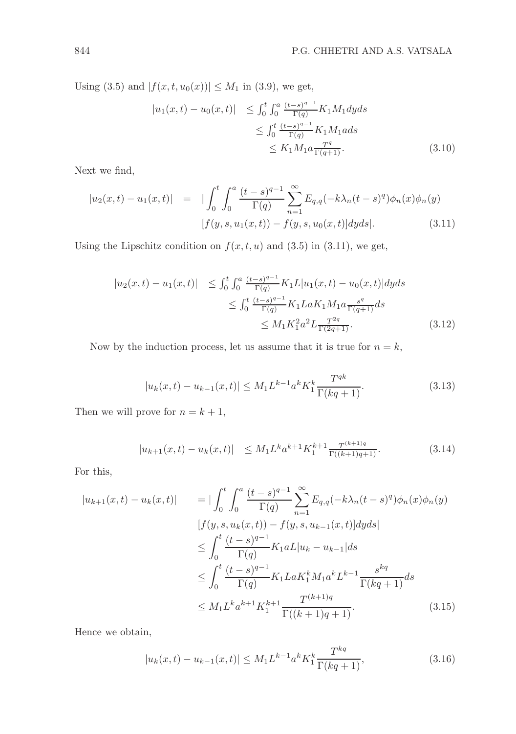Using (3.5) and  $|f(x, t, u_0(x))| \leq M_1$  in (3.9), we get,

$$
|u_1(x,t) - u_0(x,t)| \leq \int_0^t \int_0^a \frac{(t-s)^{q-1}}{\Gamma(q)} K_1 M_1 dy ds
$$
  
\n
$$
\leq \int_0^t \frac{(t-s)^{q-1}}{\Gamma(q)} K_1 M_1 ds
$$
  
\n
$$
\leq K_1 M_1 a \frac{T^q}{\Gamma(q+1)}.
$$
 (3.10)

Next we find,

$$
|u_2(x,t) - u_1(x,t)| = |\int_0^t \int_0^a \frac{(t-s)^{q-1}}{\Gamma(q)} \sum_{n=1}^\infty E_{q,q}(-k\lambda_n(t-s)^q) \phi_n(x) \phi_n(y)
$$
  
[ $f(y,s, u_1(x,t)) - f(y,s, u_0(x,t)] dyds$ ]. (3.11)

Using the Lipschitz condition on  $f(x, t, u)$  and (3.5) in (3.11), we get,

$$
|u_2(x,t) - u_1(x,t)| \leq \int_0^t \int_0^a \frac{(t-s)^{q-1}}{\Gamma(q)} K_1 L |u_1(x,t) - u_0(x,t)| dy ds
$$
  

$$
\leq \int_0^t \frac{(t-s)^{q-1}}{\Gamma(q)} K_1 L a K_1 M_1 a \frac{s^q}{\Gamma(q+1)} ds
$$
  

$$
\leq M_1 K_1^2 a^2 L \frac{T^{2q}}{\Gamma(2q+1)}.
$$
 (3.12)

Now by the induction process, let us assume that it is true for  $n = k$ ,

$$
|u_k(x,t) - u_{k-1}(x,t)| \le M_1 L^{k-1} a^k K_1^k \frac{T^{qk}}{\Gamma(kq+1)}.
$$
\n(3.13)

Then we will prove for  $n = k + 1$ ,

$$
|u_{k+1}(x,t) - u_k(x,t)| \leq M_1 L^k a^{k+1} K_1^{k+1} \frac{T^{(k+1)q}}{\Gamma((k+1)q+1)}.
$$
 (3.14)

For this,

$$
|u_{k+1}(x,t) - u_k(x,t)| = |\int_0^t \int_0^a \frac{(t-s)^{q-1}}{\Gamma(q)} \sum_{n=1}^\infty E_{q,q}(-k\lambda_n(t-s)^q) \phi_n(x)\phi_n(y)
$$
  
\n
$$
[f(y,s,u_k(x,t)) - f(y,s,u_{k-1}(x,t)]dyds|
$$
  
\n
$$
\leq \int_0^t \frac{(t-s)^{q-1}}{\Gamma(q)} K_1 aL |u_k - u_{k-1}| ds
$$
  
\n
$$
\leq \int_0^t \frac{(t-s)^{q-1}}{\Gamma(q)} K_1 L a K_1^k M_1 a^k L^{k-1} \frac{s^{kq}}{\Gamma(kq+1)} ds
$$
  
\n
$$
\leq M_1 L^k a^{k+1} K_1^{k+1} \frac{T^{(k+1)q}}{\Gamma((k+1)q+1)}.
$$
 (3.15)

Hence we obtain,

$$
|u_k(x,t) - u_{k-1}(x,t)| \le M_1 L^{k-1} a^k K_1^k \frac{T^{kq}}{\Gamma(kq+1)},
$$
\n(3.16)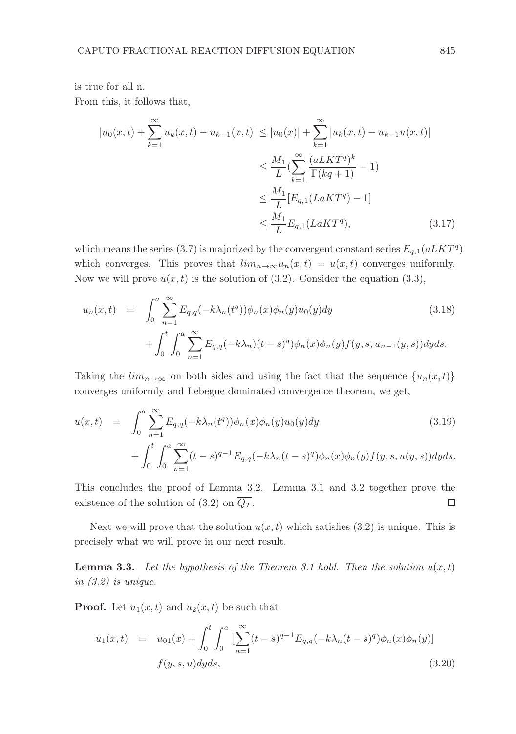is true for all n.

From this, it follows that,

$$
|u_0(x,t) + \sum_{k=1}^{\infty} u_k(x,t) - u_{k-1}(x,t)| \le |u_0(x)| + \sum_{k=1}^{\infty} |u_k(x,t) - u_{k-1}u(x,t)|
$$
  

$$
\leq \frac{M_1}{L} (\sum_{k=1}^{\infty} \frac{(aLKT^q)^k}{\Gamma(kq+1)} - 1)
$$
  

$$
\leq \frac{M_1}{L} [E_{q,1}(LaKT^q) - 1]
$$
  

$$
\leq \frac{M_1}{L} E_{q,1}(LaKT^q), \qquad (3.17)
$$

which means the series (3.7) is majorized by the convergent constant series  $E_{q,1}(a LKT<sup>q</sup>)$ which converges. This proves that  $\lim_{n\to\infty}u_n(x,t)=u(x,t)$  converges uniformly. Now we will prove  $u(x, t)$  is the solution of (3.2). Consider the equation (3.3),

$$
u_n(x,t) = \int_0^a \sum_{n=1}^\infty E_{q,q}(-k\lambda_n(t^q))\phi_n(x)\phi_n(y)u_0(y)dy
$$
\n
$$
+ \int_0^t \int_0^a \sum_{n=1}^\infty E_{q,q}(-k\lambda_n)(t-s)^q \phi_n(x)\phi_n(y)f(y,s,u_{n-1}(y,s))dyds.
$$
\n(3.18)

Taking the  $\lim_{n\to\infty}$  on both sides and using the fact that the sequence  $\{u_n(x,t)\}\$ converges uniformly and Lebegue dominated convergence theorem, we get,

$$
u(x,t) = \int_0^a \sum_{n=1}^\infty E_{q,q}(-k\lambda_n(t^q))\phi_n(x)\phi_n(y)u_0(y)dy
$$
\n
$$
+ \int_0^t \int_0^a \sum_{n=1}^\infty (t-s)^{q-1} E_{q,q}(-k\lambda_n(t-s)^q)\phi_n(x)\phi_n(y)f(y,s,u(y,s))dyds.
$$
\n(3.19)

This concludes the proof of Lemma 3.2. Lemma 3.1 and 3.2 together prove the existence of the solution of (3.2) on  $\overline{Q_T}$ . □

Next we will prove that the solution  $u(x, t)$  which satisfies (3.2) is unique. This is precisely what we will prove in our next result.

**Lemma 3.3.** Let the hypothesis of the Theorem 3.1 hold. Then the solution  $u(x,t)$ in (3.2) is unique.

**Proof.** Let  $u_1(x,t)$  and  $u_2(x,t)$  be such that

$$
u_1(x,t) = u_{01}(x) + \int_0^t \int_0^a \left[ \sum_{n=1}^\infty (t-s)^{q-1} E_{q,q}(-k\lambda_n(t-s)^q) \phi_n(x) \phi_n(y) \right]
$$
  

$$
f(y,s,u) dy ds,
$$
 (3.20)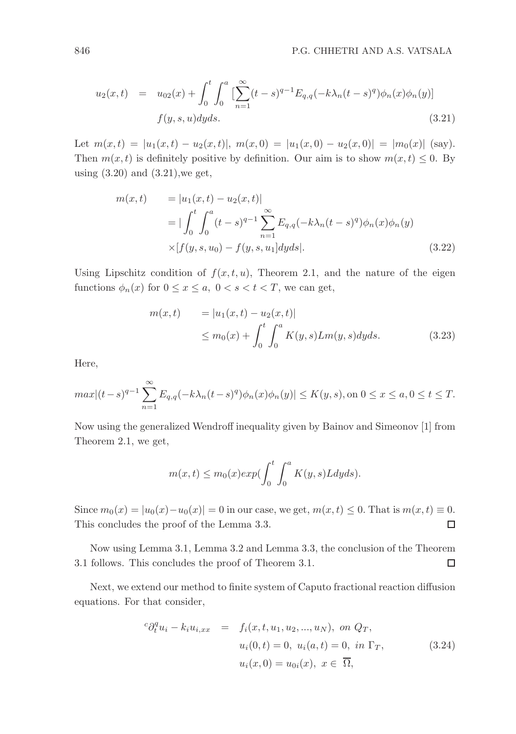$$
u_2(x,t) = u_{02}(x) + \int_0^t \int_0^a \left[ \sum_{n=1}^\infty (t-s)^{q-1} E_{q,q}(-k\lambda_n(t-s)^q) \phi_n(x) \phi_n(y) \right]
$$
  

$$
f(y,s,u) dy ds.
$$
 (3.21)

Let  $m(x,t) = |u_1(x,t) - u_2(x,t)|$ ,  $m(x,0) = |u_1(x,0) - u_2(x,0)| = |m_0(x)|$  (say). Then  $m(x, t)$  is definitely positive by definition. Our aim is to show  $m(x, t) \leq 0$ . By using (3.20) and (3.21),we get,

$$
m(x,t) = |u_1(x,t) - u_2(x,t)|
$$
  
= 
$$
|\int_0^t \int_0^a (t-s)^{q-1} \sum_{n=1}^\infty E_{q,q}(-k\lambda_n(t-s)^q) \phi_n(x) \phi_n(y)
$$
  

$$
\times [f(y,s,u_0) - f(y,s,u_1] dy ds].
$$
 (3.22)

Using Lipschitz condition of  $f(x, t, u)$ , Theorem 2.1, and the nature of the eigen functions  $\phi_n(x)$  for  $0 \le x \le a$ ,  $0 < s < t < T$ , we can get,

$$
m(x,t) = |u_1(x,t) - u_2(x,t)|
$$
  
\n
$$
\leq m_0(x) + \int_0^t \int_0^a K(y,s) L m(y,s) dy ds.
$$
 (3.23)

Here,

$$
max|(t-s)^{q-1}\sum_{n=1}^{\infty} E_{q,q}(-k\lambda_n(t-s)^q)\phi_n(x)\phi_n(y)| \le K(y,s), \text{ on } 0 \le x \le a, 0 \le t \le T.
$$

Now using the generalized Wendroff inequality given by Bainov and Simeonov [1] from Theorem 2.1, we get,

$$
m(x,t) \le m_0(x) exp(\int_0^t \int_0^a K(y,s)Ldyds).
$$

Since  $m_0(x) = |u_0(x) - u_0(x)| = 0$  in our case, we get,  $m(x, t) \le 0$ . That is  $m(x, t) \equiv 0$ . This concludes the proof of the Lemma 3.3.  $\Box$ 

Now using Lemma 3.1, Lemma 3.2 and Lemma 3.3, the conclusion of the Theorem 3.1 follows. This concludes the proof of Theorem 3.1.  $\Box$ 

Next, we extend our method to finite system of Caputo fractional reaction diffusion equations. For that consider,

$$
{}^{c}\partial_{t}^{q}u_{i} - k_{i}u_{i,xx} = f_{i}(x, t, u_{1}, u_{2}, ..., u_{N}), \text{ on } Q_{T},
$$
  
\n
$$
u_{i}(0, t) = 0, u_{i}(a, t) = 0, \text{ in } \Gamma_{T},
$$
  
\n
$$
u_{i}(x, 0) = u_{0i}(x), x \in \overline{\Omega},
$$
\n(3.24)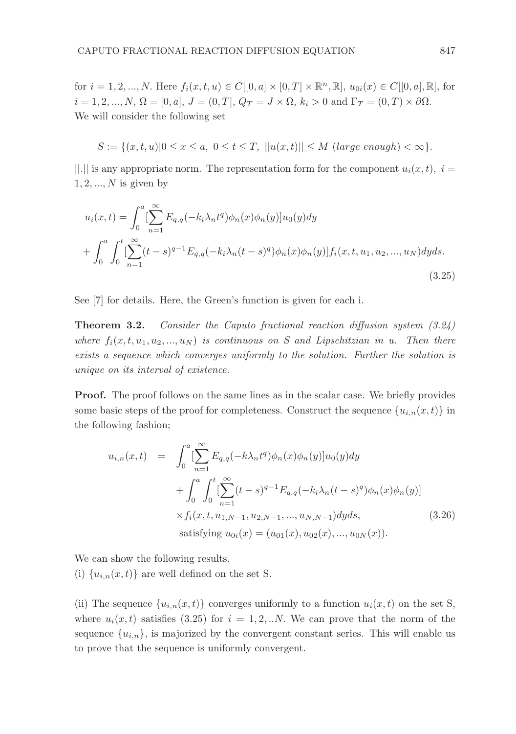for  $i = 1, 2, ..., N$ . Here  $f_i(x, t, u) \in C[[0, a] \times [0, T] \times \mathbb{R}^n, \mathbb{R}], u_{0i}(x) \in C[[0, a], \mathbb{R}],$  for  $i = 1, 2, ..., N, \Omega = [0, a], J = (0, T], Q_T = J \times \Omega, k_i > 0 \text{ and } \Gamma_T = (0, T) \times \partial \Omega.$ We will consider the following set

$$
S := \{(x, t, u) | 0 \le x \le a, \ 0 \le t \le T, \ ||u(x, t)|| \le M \ (large \ enough) < \infty \}.
$$

||.|| is any appropriate norm. The representation form for the component  $u_i(x, t)$ ,  $i =$  $1, 2, \ldots, N$  is given by

$$
u_i(x,t) = \int_0^a \left[ \sum_{n=1}^\infty E_{q,q}(-k_i \lambda_n t^q) \phi_n(x) \phi_n(y) \right] u_0(y) dy
$$
  
+ 
$$
\int_0^a \int_0^t \left[ \sum_{n=1}^\infty (t-s)^{q-1} E_{q,q}(-k_i \lambda_n (t-s)^q) \phi_n(x) \phi_n(y) \right] f_i(x,t,u_1,u_2,...,u_N) dy ds.
$$
(3.25)

See [7] for details. Here, the Green's function is given for each i.

Theorem 3.2. Consider the Caputo fractional reaction diffusion system (3.24) where  $f_i(x, t, u_1, u_2, ..., u_N)$  is continuous on S and Lipschitzian in u. Then there exists a sequence which converges uniformly to the solution. Further the solution is unique on its interval of existence.

Proof. The proof follows on the same lines as in the scalar case. We briefly provides some basic steps of the proof for completeness. Construct the sequence  ${u_{i,n}(x,t)}$  in the following fashion;

$$
u_{i,n}(x,t) = \int_0^a \left[ \sum_{n=1}^\infty E_{q,q}(-k\lambda_n t^q) \phi_n(x) \phi_n(y) \right] u_0(y) dy
$$
  
+ 
$$
\int_0^a \int_0^t \left[ \sum_{n=1}^\infty (t-s)^{q-1} E_{q,q}(-k_i\lambda_n (t-s)^q) \phi_n(x) \phi_n(y) \right]
$$
  
× 
$$
f_i(x,t,u_{1,N-1}, u_{2,N-1}, ..., u_{N,N-1}) dy ds,
$$
  
satisfying  $u_{0i}(x) = (u_{01}(x), u_{02}(x), ..., u_{0N}(x)).$  (3.26)

We can show the following results.

(i)  ${u_{i,n}(x,t)}$  are well defined on the set S.

(ii) The sequence  $\{u_{i,n}(x,t)\}\$ converges uniformly to a function  $u_i(x,t)$  on the set S, where  $u_i(x, t)$  satisfies (3.25) for  $i = 1, 2, ...N$ . We can prove that the norm of the sequence  $\{u_{i,n}\}\$ , is majorized by the convergent constant series. This will enable us to prove that the sequence is uniformly convergent.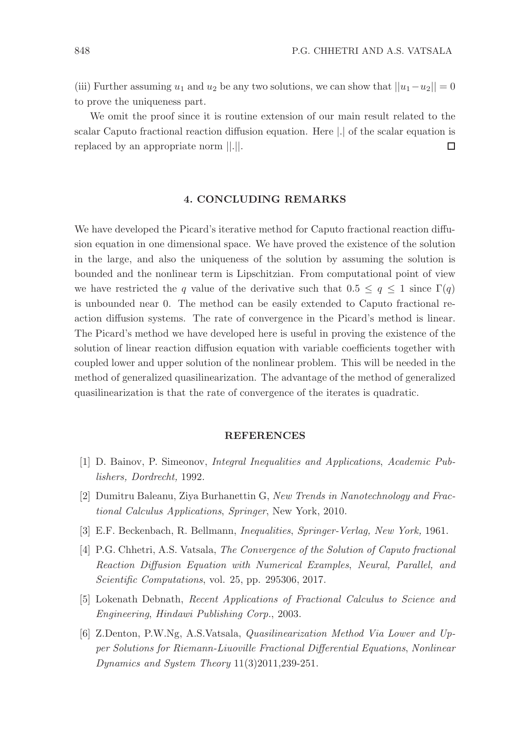(iii) Further assuming  $u_1$  and  $u_2$  be any two solutions, we can show that  $||u_1-u_2||=0$ to prove the uniqueness part.

We omit the proof since it is routine extension of our main result related to the scalar Caputo fractional reaction diffusion equation. Here |.| of the scalar equation is replaced by an appropriate norm ||.||. □

# 4. CONCLUDING REMARKS

We have developed the Picard's iterative method for Caputo fractional reaction diffusion equation in one dimensional space. We have proved the existence of the solution in the large, and also the uniqueness of the solution by assuming the solution is bounded and the nonlinear term is Lipschitzian. From computational point of view we have restricted the q value of the derivative such that  $0.5 \leq q \leq 1$  since  $\Gamma(q)$ is unbounded near 0. The method can be easily extended to Caputo fractional reaction diffusion systems. The rate of convergence in the Picard's method is linear. The Picard's method we have developed here is useful in proving the existence of the solution of linear reaction diffusion equation with variable coefficients together with coupled lower and upper solution of the nonlinear problem. This will be needed in the method of generalized quasilinearization. The advantage of the method of generalized quasilinearization is that the rate of convergence of the iterates is quadratic.

# REFERENCES

- [1] D. Bainov, P. Simeonov, Integral Inequalities and Applications, Academic Publishers, Dordrecht, 1992.
- [2] Dumitru Baleanu, Ziya Burhanettin G, New Trends in Nanotechnology and Fractional Calculus Applications, Springer, New York, 2010.
- [3] E.F. Beckenbach, R. Bellmann, Inequalities, Springer-Verlag, New York, 1961.
- [4] P.G. Chhetri, A.S. Vatsala, The Convergence of the Solution of Caputo fractional Reaction Diffusion Equation with Numerical Examples, Neural, Parallel, and Scientific Computations, vol. 25, pp. 295306, 2017.
- [5] Lokenath Debnath, Recent Applications of Fractional Calculus to Science and Engineering, Hindawi Publishing Corp., 2003.
- [6] Z.Denton, P.W.Ng, A.S.Vatsala, Quasilinearization Method Via Lower and Upper Solutions for Riemann-Liuoville Fractional Differential Equations, Nonlinear Dynamics and System Theory 11(3)2011,239-251.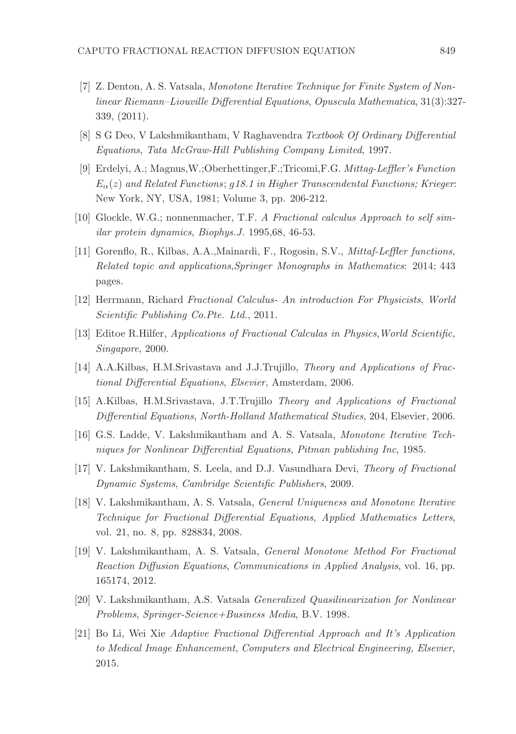- [7] Z. Denton, A. S. Vatsala, Monotone Iterative Technique for Finite System of Nonlinear Riemann–Liouville Differential Equations, Opuscula Mathematica, 31(3):327- 339, (2011).
- [8] S G Deo, V Lakshmikantham, V Raghavendra Textbook Of Ordinary Differential Equations, Tata McGraw-Hill Publishing Company Limited, 1997.
- [9] Erdelyi, A.; Magnus,W.;Oberhettinger,F.;Tricomi,F.G. Mittag-Leffler's Function  $E_{\alpha}(z)$  and Related Functions; g18.1 in Higher Transcendental Functions; Krieger: New York, NY, USA, 1981; Volume 3, pp. 206-212.
- [10] Glockle, W.G.; nonnenmacher, T.F. A Fractional calculus Approach to self similar protein dynamics, Biophys.J. 1995,68, 46-53.
- [11] Gorenflo, R., Kilbas, A.A.,Mainardi, F., Rogosin, S.V., Mittaf-Leffler functions, Related topic and applications,Springer Monographs in Mathematics: 2014; 443 pages.
- [12] Herrmann, Richard Fractional Calculus- An introduction For Physicists, World Scientific Publishing Co.Pte. Ltd., 2011.
- [13] Editoe R.Hilfer, Applications of Fractional Calculas in Physics,World Scientific, Singapore, 2000.
- [14] A.A.Kilbas, H.M.Srivastava and J.J.Trujillo, Theory and Applications of Fractional Differential Equations, Elsevier, Amsterdam, 2006.
- [15] A.Kilbas, H.M.Srivastava, J.T.Trujillo Theory and Applications of Fractional Differential Equations, North-Holland Mathematical Studies, 204, Elsevier, 2006.
- [16] G.S. Ladde, V. Lakshmikantham and A. S. Vatsala, Monotone Iterative Techniques for Nonlinear Differential Equations, Pitman publishing Inc, 1985.
- [17] V. Lakshmikantham, S. Leela, and D.J. Vasundhara Devi, Theory of Fractional Dynamic Systems, Cambridge Scientific Publishers, 2009.
- [18] V. Lakshmikantham, A. S. Vatsala, General Uniqueness and Monotone Iterative Technique for Fractional Differential Equations, Applied Mathematics Letters, vol. 21, no. 8, pp. 828834, 2008.
- [19] V. Lakshmikantham, A. S. Vatsala, General Monotone Method For Fractional Reaction Diffusion Equations, Communications in Applied Analysis, vol. 16, pp. 165174, 2012.
- [20] V. Lakshmikantham, A.S. Vatsala Generalized Quasilinearization for Nonlinear Problems, Springer-Science+Business Media, B.V. 1998.
- [21] Bo Li, Wei Xie Adaptive Fractional Differential Approach and It's Application to Medical Image Enhancement, Computers and Electrical Engineering, Elsevier, 2015.